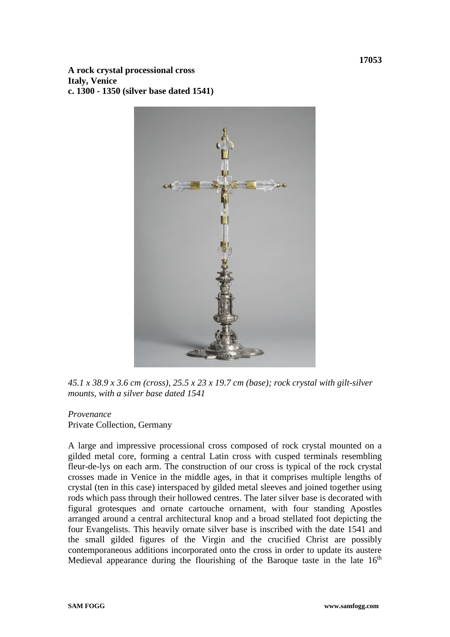**A rock crystal processional cross Italy, Venice c. 1300 - 1350 (silver base dated 1541)**



*45.1 x 38.9 x 3.6 cm (cross), 25.5 x 23 x 19.7 cm (base); rock crystal with gilt-silver mounts, with a silver base dated 1541*

## *Provenance*

Private Collection, Germany

A large and impressive processional cross composed of rock crystal mounted on a gilded metal core, forming a central Latin cross with cusped terminals resembling fleur-de-lys on each arm. The construction of our cross is typical of the rock crystal crosses made in Venice in the middle ages, in that it comprises multiple lengths of crystal (ten in this case) interspaced by gilded metal sleeves and joined together using rods which pass through their hollowed centres. The later silver base is decorated with figural grotesques and ornate cartouche ornament, with four standing Apostles arranged around a central architectural knop and a broad stellated foot depicting the four Evangelists. This heavily ornate silver base is inscribed with the date 1541 and the small gilded figures of the Virgin and the crucified Christ are possibly contemporaneous additions incorporated onto the cross in order to update its austere Medieval appearance during the flourishing of the Baroque taste in the late  $16<sup>th</sup>$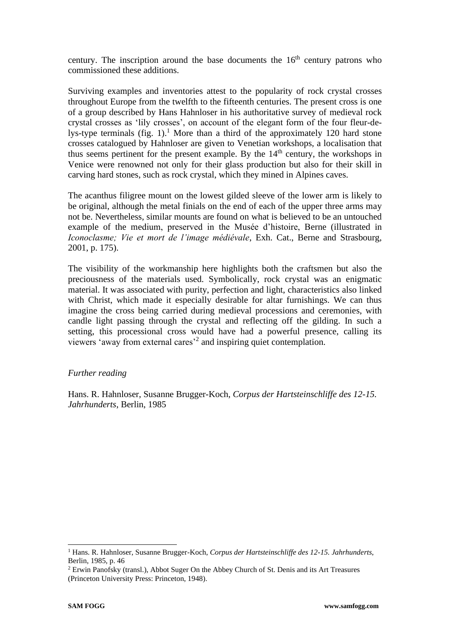century. The inscription around the base documents the  $16<sup>th</sup>$  century patrons who commissioned these additions.

Surviving examples and inventories attest to the popularity of rock crystal crosses throughout Europe from the twelfth to the fifteenth centuries. The present cross is one of a group described by Hans Hahnloser in his authoritative survey of medieval rock crystal crosses as 'lily crosses', on account of the elegant form of the four fleur-delys-type terminals (fig. 1).<sup>1</sup> More than a third of the approximately 120 hard stone crosses catalogued by Hahnloser are given to Venetian workshops, a localisation that thus seems pertinent for the present example. By the  $14<sup>th</sup>$  century, the workshops in Venice were renowned not only for their glass production but also for their skill in carving hard stones, such as rock crystal, which they mined in Alpines caves.

The acanthus filigree mount on the lowest gilded sleeve of the lower arm is likely to be original, although the metal finials on the end of each of the upper three arms may not be. Nevertheless, similar mounts are found on what is believed to be an untouched example of the medium, preserved in the Musée d'histoire, Berne (illustrated in *Iconoclasme; Vie et mort de l'image médiévale*, Exh. Cat., Berne and Strasbourg, 2001, p. 175).

The visibility of the workmanship here highlights both the craftsmen but also the preciousness of the materials used. Symbolically, rock crystal was an enigmatic material. It was associated with purity, perfection and light, characteristics also linked with Christ, which made it especially desirable for altar furnishings. We can thus imagine the cross being carried during medieval processions and ceremonies, with candle light passing through the crystal and reflecting off the gilding. In such a setting, this processional cross would have had a powerful presence, calling its viewers 'away from external cares'<sup>2</sup> and inspiring quiet contemplation.

## *Further reading*

Hans. R. Hahnloser, Susanne Brugger-Koch, *Corpus der Hartsteinschliffe des 12-15. Jahrhunderts*, Berlin, 1985

<sup>1</sup> Hans. R. Hahnloser, Susanne Brugger-Koch, *Corpus der Hartsteinschliffe des 12-15. Jahrhunderts*, Berlin, 1985, p. 46

<sup>&</sup>lt;sup>2</sup> Erwin Panofsky (transl.), Abbot Suger On the Abbey Church of St. Denis and its Art Treasures (Princeton University Press: Princeton, 1948).